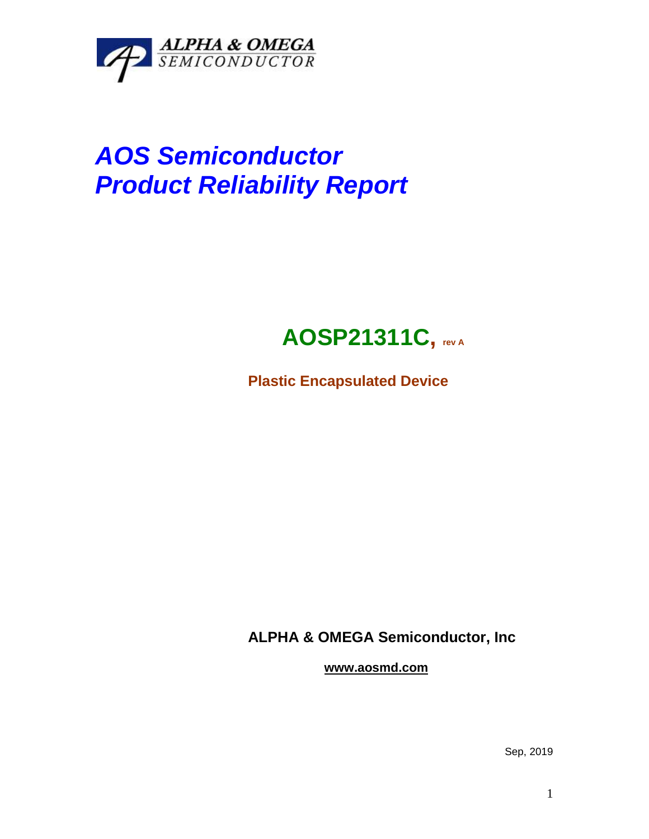

# *AOS Semiconductor Product Reliability Report*

## **AOSP21311C, rev <sup>A</sup>**

**Plastic Encapsulated Device**

**ALPHA & OMEGA Semiconductor, Inc**

**www.aosmd.com**

Sep, 2019